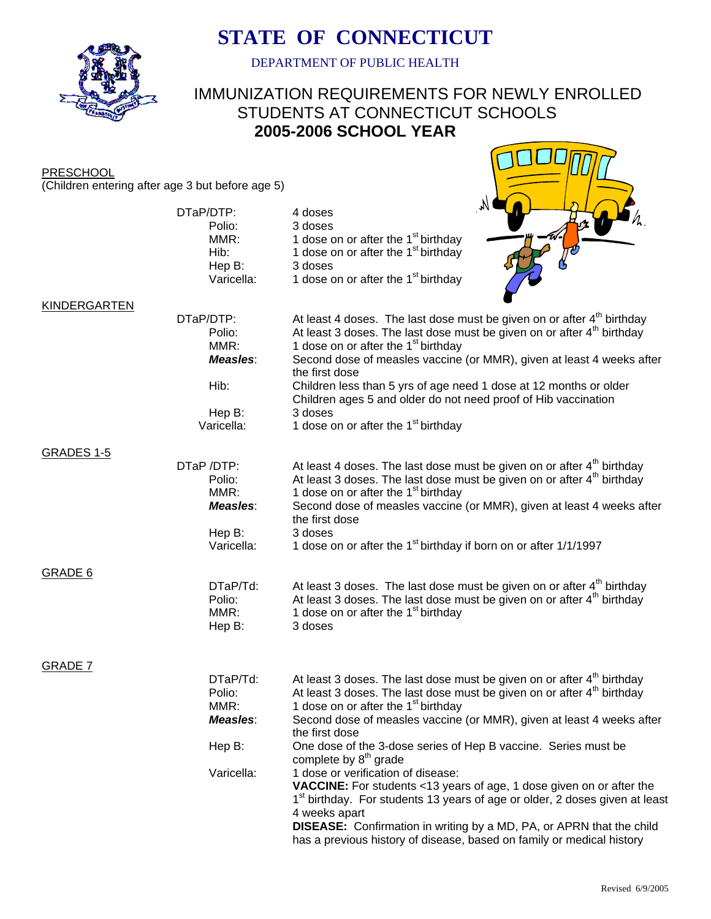

# **STATE OF CONNECTICUT**

DEPARTMENT OF PUBLIC HEALTH

## IMMUNIZATION REQUIREMENTS FOR NEWLY ENROLLED STUDENTS AT CONNECTICUT SCHOOLS **2005-2006 SCHOOL YEAR**

**PRESCHOOL** (Children entering after age 3 but before age 5)

|                | (Crimateri entering after age 5 but before age 5)                       |                                                                                                                                                                                                                                                                                                                                                                                                                                                                                                                                                                                                                                                                                                                                        |
|----------------|-------------------------------------------------------------------------|----------------------------------------------------------------------------------------------------------------------------------------------------------------------------------------------------------------------------------------------------------------------------------------------------------------------------------------------------------------------------------------------------------------------------------------------------------------------------------------------------------------------------------------------------------------------------------------------------------------------------------------------------------------------------------------------------------------------------------------|
|                | DTaP/DTP:<br>Polio:<br>MMR:<br>Hib:<br>Hep B:<br>Varicella:             | M,<br>4 doses<br>3 doses<br>1 dose on or after the 1 <sup>st</sup> birthday<br>1 dose on or after the 1 <sup>st</sup> birthday<br>3 doses<br>1 dose on or after the 1 <sup>st</sup> birthday                                                                                                                                                                                                                                                                                                                                                                                                                                                                                                                                           |
| KINDERGARTEN   | DTaP/DTP:<br>Polio:<br>MMR:<br>Measles:<br>Hib:<br>Hep B:<br>Varicella: | At least 4 doses. The last dose must be given on or after $4th$ birthday<br>At least 3 doses. The last dose must be given on or after 4 <sup>th</sup> birthday<br>1 dose on or after the 1 <sup>st</sup> birthday<br>Second dose of measles vaccine (or MMR), given at least 4 weeks after<br>the first dose<br>Children less than 5 yrs of age need 1 dose at 12 months or older<br>Children ages 5 and older do not need proof of Hib vaccination<br>3 doses<br>1 dose on or after the 1 <sup>st</sup> birthday                                                                                                                                                                                                                      |
| GRADES 1-5     |                                                                         |                                                                                                                                                                                                                                                                                                                                                                                                                                                                                                                                                                                                                                                                                                                                        |
|                | DTaP /DTP:<br>Polio:<br>MMR:<br>Measles:<br>Hep B:<br>Varicella:        | At least 4 doses. The last dose must be given on or after 4 <sup>th</sup> birthday<br>At least 3 doses. The last dose must be given on or after 4 <sup>th</sup> birthday<br>1 dose on or after the 1 <sup>st</sup> birthday<br>Second dose of measles vaccine (or MMR), given at least 4 weeks after<br>the first dose<br>3 doses<br>1 dose on or after the 1 <sup>st</sup> birthday if born on or after 1/1/1997                                                                                                                                                                                                                                                                                                                      |
| <b>GRADE 6</b> | DTaP/Td:<br>Polio:<br>MMR:<br>Hep B:                                    | At least 3 doses. The last dose must be given on or after $4th$ birthday<br>At least 3 doses. The last dose must be given on or after 4 <sup>th</sup> birthday<br>1 dose on or after the 1 <sup>st</sup> birthday<br>3 doses                                                                                                                                                                                                                                                                                                                                                                                                                                                                                                           |
| <b>GRADE 7</b> | DTaP/Td:<br>Polio:<br>MMR:<br>Measles:<br>Hep B:<br>Varicella:          | At least 3 doses. The last dose must be given on or after 4 <sup>th</sup> birthday<br>At least 3 doses. The last dose must be given on or after 4 <sup>th</sup> birthday<br>1 dose on or after the 1 <sup>st</sup> birthday<br>Second dose of measles vaccine (or MMR), given at least 4 weeks after<br>the first dose<br>One dose of the 3-dose series of Hep B vaccine. Series must be<br>complete by 8 <sup>th</sup> grade<br>1 dose or verification of disease:<br>VACCINE: For students <13 years of age, 1 dose given on or after the<br>1 <sup>st</sup> birthday. For students 13 years of age or older, 2 doses given at least<br>4 weeks apart<br><b>DISEASE:</b> Confirmation in writing by a MD, PA, or APRN that the child |

has a previous history of disease, based on family or medical history